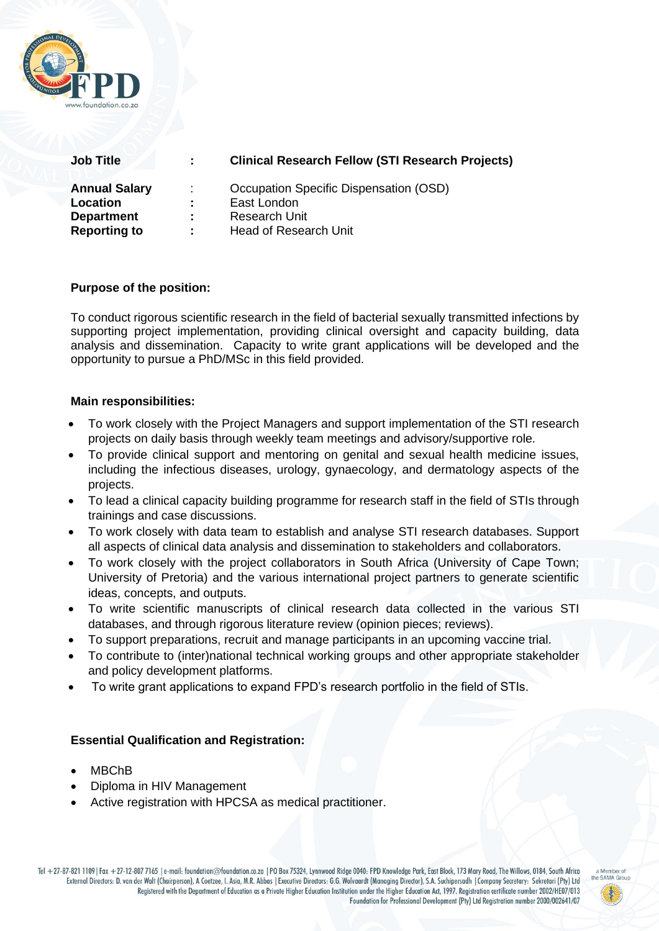

| <b>Job Title</b>                                                             | ÷.                   | <b>Clinical Research Fellow (STI Research Projects)</b>                                                |
|------------------------------------------------------------------------------|----------------------|--------------------------------------------------------------------------------------------------------|
| <b>Annual Salary</b><br>Location<br><b>Department</b><br><b>Reporting to</b> | ÷.<br>÷.<br>÷<br>t i | Occupation Specific Dispensation (OSD)<br>East London<br>Research Unit<br><b>Head of Research Unit</b> |
|                                                                              |                      |                                                                                                        |

# **Purpose of the position:**

To conduct rigorous scientific research in the field of bacterial sexually transmitted infections by supporting project implementation, providing clinical oversight and capacity building, data analysis and dissemination. Capacity to write grant applications will be developed and the opportunity to pursue a PhD/MSc in this field provided.

#### **Main responsibilities:**

- To work closely with the Project Managers and support implementation of the STI research projects on daily basis through weekly team meetings and advisory/supportive role.
- To provide clinical support and mentoring on genital and sexual health medicine issues, including the infectious diseases, urology, gynaecology, and dermatology aspects of the projects.
- To lead a clinical capacity building programme for research staff in the field of STIs through trainings and case discussions.
- To work closely with data team to establish and analyse STI research databases. Support all aspects of clinical data analysis and dissemination to stakeholders and collaborators.
- To work closely with the project collaborators in South Africa (University of Cape Town; University of Pretoria) and the various international project partners to generate scientific ideas, concepts, and outputs.
- To write scientific manuscripts of clinical research data collected in the various STI databases, and through rigorous literature review (opinion pieces; reviews).
- To support preparations, recruit and manage participants in an upcoming vaccine trial.
- To contribute to (inter)national technical working groups and other appropriate stakeholder and policy development platforms.
- To write grant applications to expand FPD's research portfolio in the field of STIs.

### **Essential Qualification and Registration:**

- MBChB
- Diploma in HIV Management
- Active registration with HPCSA as medical practitioner.